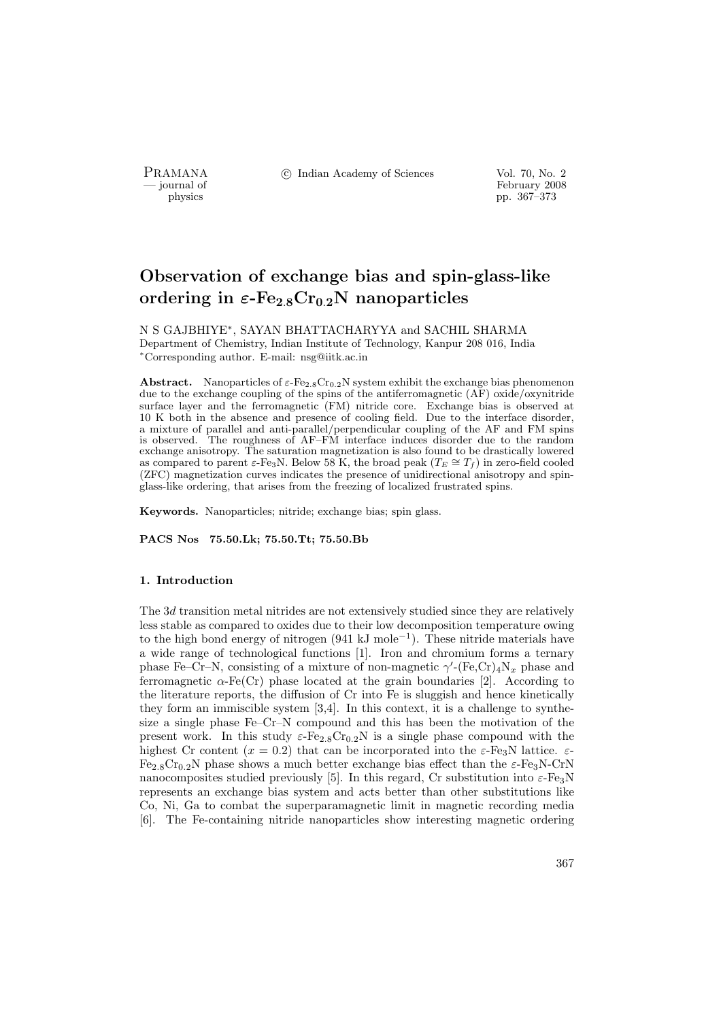PRAMANA °c Indian Academy of Sciences Vol. 70, No. 2

physics and the set of the set of the set of the set of the set of the set of the set of the set of the set of the set of the set of the set of the set of the set of the set of the set of the set of the set of the set of t physics pp. 367–373

# Observation of exchange bias and spin-glass-like ordering in  $\varepsilon$ -Fe<sub>2.8</sub>Cr<sub>0.2</sub>N nanoparticles

N S GAJBHIYE<sup>∗</sup> , SAYAN BHATTACHARYYA and SACHIL SHARMA Department of Chemistry, Indian Institute of Technology, Kanpur 208 016, India <sup>∗</sup>Corresponding author. E-mail: nsg@iitk.ac.in

**Abstract.** Nanoparticles of  $\varepsilon$ -Fe<sub>2.8</sub>Cr<sub>0.2</sub>N system exhibit the exchange bias phenomenon due to the exchange coupling of the spins of the antiferromagnetic (AF) oxide/oxynitride surface layer and the ferromagnetic (FM) nitride core. Exchange bias is observed at 10 K both in the absence and presence of cooling field. Due to the interface disorder, a mixture of parallel and anti-parallel/perpendicular coupling of the AF and FM spins is observed. The roughness of AF–FM interface induces disorder due to the random exchange anisotropy. The saturation magnetization is also found to be drastically lowered as compared to parent  $\varepsilon$ -Fe<sub>3</sub>N. Below 58 K, the broad peak ( $T_E \cong T_f$ ) in zero-field cooled (ZFC) magnetization curves indicates the presence of unidirectional anisotropy and spinglass-like ordering, that arises from the freezing of localized frustrated spins.

Keywords. Nanoparticles; nitride; exchange bias; spin glass.

PACS Nos 75.50.Lk; 75.50.Tt; 75.50.Bb

### 1. Introduction

The 3d transition metal nitrides are not extensively studied since they are relatively less stable as compared to oxides due to their low decomposition temperature owing to the high bond energy of nitrogen (941 kJ mole<sup>−</sup><sup>1</sup> ). These nitride materials have a wide range of technological functions [1]. Iron and chromium forms a ternary phase Fe–Cr–N, consisting of a mixture of non-magnetic  $\gamma'$ -(Fe,Cr)<sub>4</sub>N<sub>x</sub> phase and ferromagnetic  $\alpha$ -Fe(Cr) phase located at the grain boundaries [2]. According to the literature reports, the diffusion of Cr into Fe is sluggish and hence kinetically they form an immiscible system [3,4]. In this context, it is a challenge to synthesize a single phase Fe–Cr–N compound and this has been the motivation of the present work. In this study  $\varepsilon$ -Fe<sub>2.8</sub>Cr<sub>0.2</sub>N is a single phase compound with the highest Cr content  $(x = 0.2)$  that can be incorporated into the  $\varepsilon$ -Fe<sub>3</sub>N lattice.  $\varepsilon$ - $Fe_{2.8}Cr_{0.2}N$  phase shows a much better exchange bias effect than the  $\varepsilon$ -Fe<sub>3</sub>N-CrN nanocomposites studied previously [5]. In this regard, Cr substitution into  $\varepsilon$ -Fe<sub>3</sub>N represents an exchange bias system and acts better than other substitutions like Co, Ni, Ga to combat the superparamagnetic limit in magnetic recording media [6]. The Fe-containing nitride nanoparticles show interesting magnetic ordering

367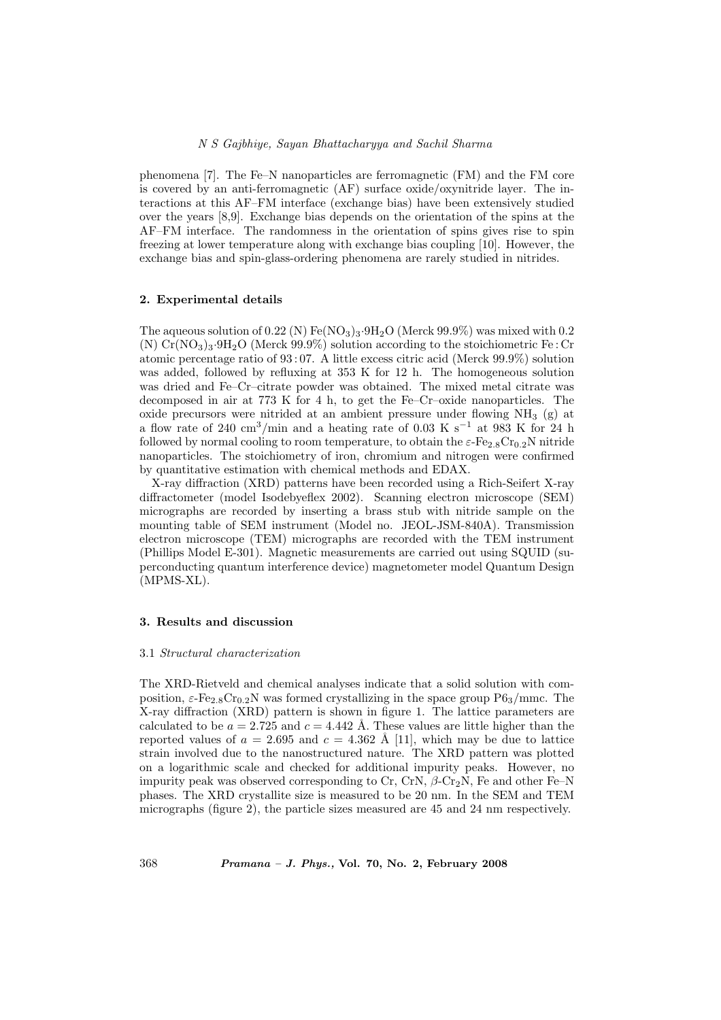phenomena [7]. The Fe–N nanoparticles are ferromagnetic (FM) and the FM core is covered by an anti-ferromagnetic (AF) surface oxide/oxynitride layer. The interactions at this AF–FM interface (exchange bias) have been extensively studied over the years [8,9]. Exchange bias depends on the orientation of the spins at the AF–FM interface. The randomness in the orientation of spins gives rise to spin freezing at lower temperature along with exchange bias coupling [10]. However, the exchange bias and spin-glass-ordering phenomena are rarely studied in nitrides.

# 2. Experimental details

The aqueous solution of  $0.22$  (N) Fe(NO<sub>3</sub>)<sub>3</sub>.9H<sub>2</sub>O (Merck 99.9%) was mixed with 0.2 (N)  $Cr(NO<sub>3</sub>)<sub>3</sub>·9H<sub>2</sub>O$  (Merck 99.9%) solution according to the stoichiometric Fe : Cr atomic percentage ratio of 93 : 07. A little excess citric acid (Merck 99.9%) solution was added, followed by refluxing at 353 K for 12 h. The homogeneous solution was dried and Fe–Cr–citrate powder was obtained. The mixed metal citrate was decomposed in air at 773 K for 4 h, to get the Fe–Cr–oxide nanoparticles. The oxide precursors were nitrided at an ambient pressure under flowing  $NH<sub>3</sub>$  (g) at a flow rate of 240 cm<sup>3</sup>/min and a heating rate of 0.03 K s<sup>−</sup><sup>1</sup> at 983 K for 24 h followed by normal cooling to room temperature, to obtain the  $\varepsilon$ -Fe<sub>2.8</sub>Cr<sub>0.2</sub>N nitride nanoparticles. The stoichiometry of iron, chromium and nitrogen were confirmed by quantitative estimation with chemical methods and EDAX.

X-ray diffraction (XRD) patterns have been recorded using a Rich-Seifert X-ray diffractometer (model Isodebyeflex 2002). Scanning electron microscope (SEM) micrographs are recorded by inserting a brass stub with nitride sample on the mounting table of SEM instrument (Model no. JEOL-JSM-840A). Transmission electron microscope (TEM) micrographs are recorded with the TEM instrument (Phillips Model E-301). Magnetic measurements are carried out using SQUID (superconducting quantum interference device) magnetometer model Quantum Design (MPMS-XL).

## 3. Results and discussion

#### 3.1 Structural characterization

The XRD-Rietveld and chemical analyses indicate that a solid solution with composition,  $\varepsilon$ -Fe<sub>2.8</sub>Cr<sub>0.2</sub>N was formed crystallizing in the space group P6<sub>3</sub>/mmc. The X-ray diffraction (XRD) pattern is shown in figure 1. The lattice parameters are calculated to be  $a = 2.725$  and  $c = 4.442$  Å. These values are little higher than the reported values of  $a = 2.695$  and  $c = 4.362$  Å [11], which may be due to lattice strain involved due to the nanostructured nature. The XRD pattern was plotted on a logarithmic scale and checked for additional impurity peaks. However, no impurity peak was observed corresponding to Cr, CrN,  $\beta$ -Cr<sub>2</sub>N, Fe and other Fe–N phases. The XRD crystallite size is measured to be 20 nm. In the SEM and TEM micrographs (figure 2), the particle sizes measured are 45 and 24 nm respectively.

368 Pramana – J. Phys., Vol. 70, No. 2, February 2008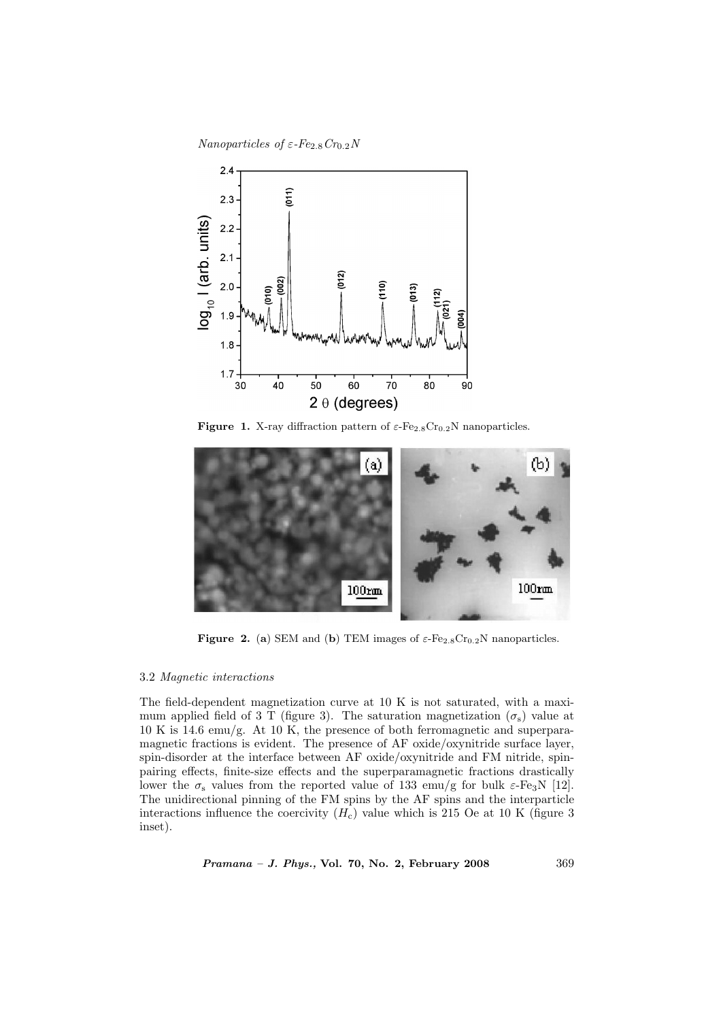Nanoparticles of  $\varepsilon$ -Fe<sub>2.8</sub>Cr<sub>0.2</sub>N



**Figure 1.** X-ray diffraction pattern of  $\varepsilon$ -Fe<sub>2.8</sub>Cr<sub>0.2</sub>N nanoparticles.



**Figure 2.** (a) SEM and (b) TEM images of  $\varepsilon$ -Fe<sub>2.8</sub>Cr<sub>0.2</sub>N nanoparticles.

# 3.2 Magnetic interactions

The field-dependent magnetization curve at 10 K is not saturated, with a maximum applied field of 3 T (figure 3). The saturation magnetization ( $\sigma_s$ ) value at 10 K is 14.6 emu/g. At 10 K, the presence of both ferromagnetic and superparamagnetic fractions is evident. The presence of AF oxide/oxynitride surface layer, spin-disorder at the interface between AF oxide/oxynitride and FM nitride, spinpairing effects, finite-size effects and the superparamagnetic fractions drastically lower the  $\sigma_s$  values from the reported value of 133 emu/g for bulk  $\varepsilon$ -Fe<sub>3</sub>N [12]. The unidirectional pinning of the FM spins by the AF spins and the interparticle interactions influence the coercivity  $(H_c)$  value which is 215 Oe at 10 K (figure 3) inset).

Pramana – J. Phys., Vol. 70, No. 2, February 2008 369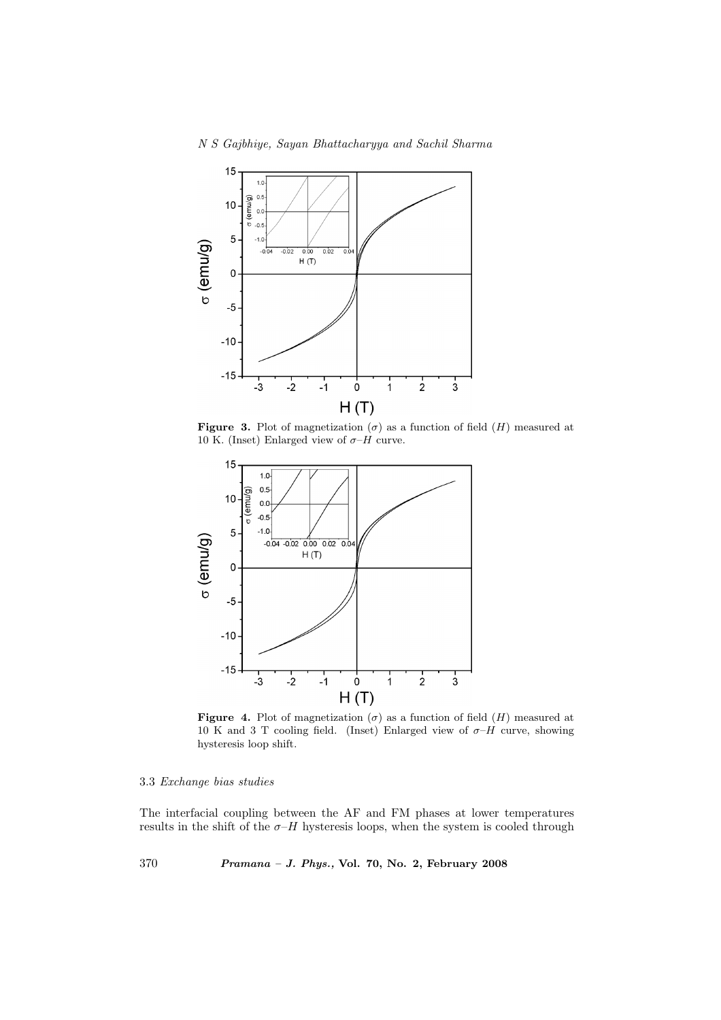N S Gajbhiye, Sayan Bhattacharyya and Sachil Sharma



Figure 3. Plot of magnetization  $(\sigma)$  as a function of field  $(H)$  measured at 10 K. (Inset) Enlarged view of  $\sigma$ -H curve.



**Figure 4.** Plot of magnetization  $(\sigma)$  as a function of field  $(H)$  measured at 10 K and 3 T cooling field. (Inset) Enlarged view of  $\sigma$ -H curve, showing hysteresis loop shift.

# 3.3 Exchange bias studies

The interfacial coupling between the AF and FM phases at lower temperatures results in the shift of the  $\sigma$ - $H$  hysteresis loops, when the system is cooled through

370 Pramana – J. Phys., Vol. 70, No. 2, February 2008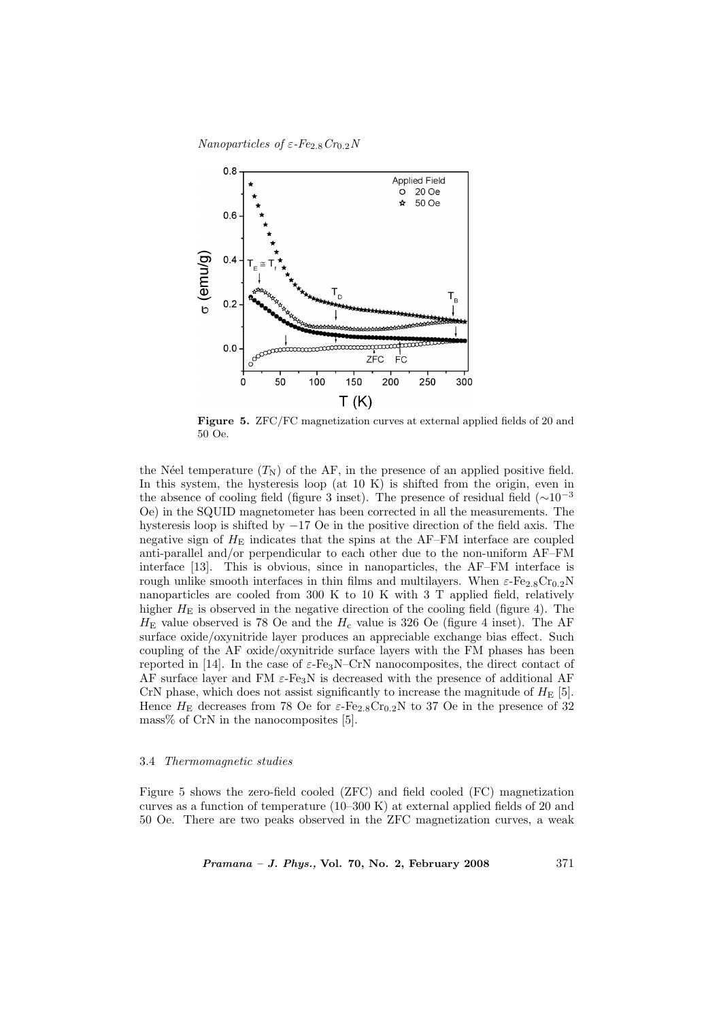Nanoparticles of  $\varepsilon$ -Fe<sub>2.8</sub>Cr<sub>0.2</sub>N



Figure 5. ZFC/FC magnetization curves at external applied fields of 20 and 50 Oe.

the Néel temperature  $(T_N)$  of the AF, in the presence of an applied positive field. In this system, the hysteresis loop (at 10 K) is shifted from the origin, even in the absence of cooling field (figure 3 inset). The presence of residual field ( $\sim 10^{-3}$ ) Oe) in the SQUID magnetometer has been corrected in all the measurements. The hysteresis loop is shifted by −17 Oe in the positive direction of the field axis. The negative sign of  $H_{\rm E}$  indicates that the spins at the AF–FM interface are coupled anti-parallel and/or perpendicular to each other due to the non-uniform AF–FM interface [13]. This is obvious, since in nanoparticles, the AF–FM interface is rough unlike smooth interfaces in thin films and multilayers. When  $\varepsilon$ -Fe<sub>2.8</sub>Cr<sub>0.2</sub>N nanoparticles are cooled from 300 K to 10 K with 3 T applied field, relatively higher  $H<sub>E</sub>$  is observed in the negative direction of the cooling field (figure 4). The  $H<sub>E</sub>$  value observed is 78 Oe and the  $H<sub>c</sub>$  value is 326 Oe (figure 4 inset). The AF surface oxide/oxynitride layer produces an appreciable exchange bias effect. Such coupling of the AF oxide/oxynitride surface layers with the FM phases has been reported in [14]. In the case of  $\varepsilon$ -Fe<sub>3</sub>N–CrN nanocomposites, the direct contact of AF surface layer and FM  $\varepsilon$ -Fe<sub>3</sub>N is decreased with the presence of additional AF CrN phase, which does not assist significantly to increase the magnitude of  $H<sub>E</sub>$  [5]. Hence  $H<sub>E</sub>$  decreases from 78 Oe for  $\varepsilon$ -Fe<sub>2.8</sub>Cr<sub>0.2</sub>N to 37 Oe in the presence of 32 mass% of CrN in the nanocomposites [5].

# 3.4 Thermomagnetic studies

Figure 5 shows the zero-field cooled (ZFC) and field cooled (FC) magnetization curves as a function of temperature (10–300 K) at external applied fields of 20 and 50 Oe. There are two peaks observed in the ZFC magnetization curves, a weak

*Pramana – J. Phys.*, Vol. 70, No. 2, February 2008  $371$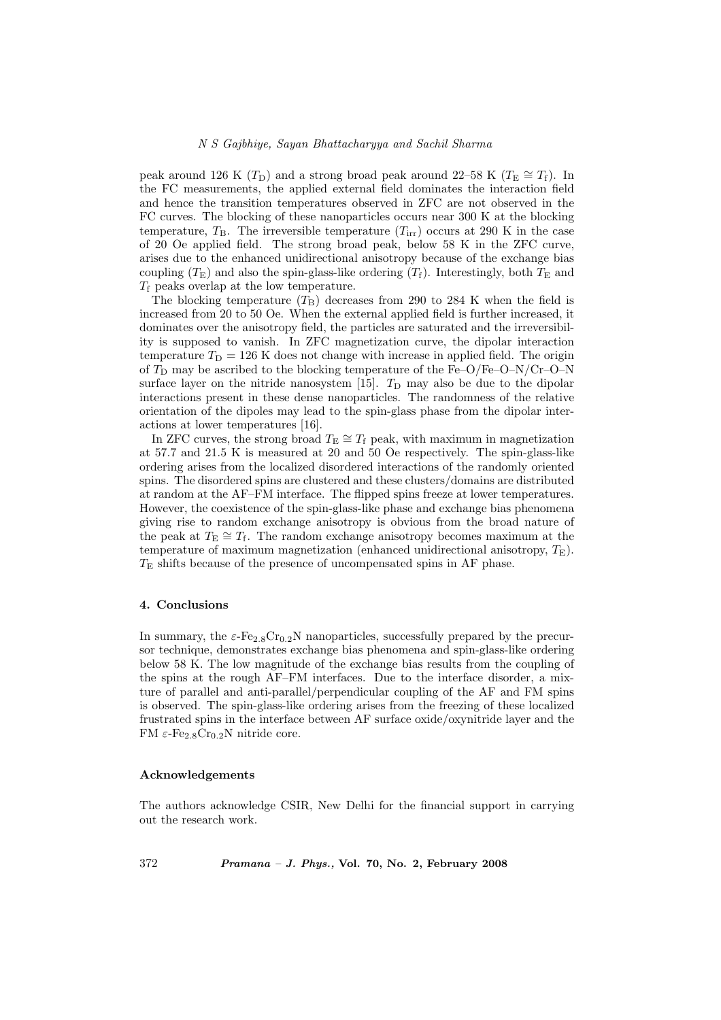peak around 126 K ( $T_D$ ) and a strong broad peak around 22–58 K ( $T_E \cong T_f$ ). In the FC measurements, the applied external field dominates the interaction field and hence the transition temperatures observed in ZFC are not observed in the FC curves. The blocking of these nanoparticles occurs near 300 K at the blocking temperature,  $T_{\rm B}$ . The irreversible temperature  $(T_{\rm irr})$  occurs at 290 K in the case of 20 Oe applied field. The strong broad peak, below 58 K in the ZFC curve, arises due to the enhanced unidirectional anisotropy because of the exchange bias coupling  $(T_{\rm E})$  and also the spin-glass-like ordering  $(T_{\rm f})$ . Interestingly, both  $T_{\rm E}$  and  $T_f$  peaks overlap at the low temperature.

The blocking temperature  $(T_B)$  decreases from 290 to 284 K when the field is increased from 20 to 50 Oe. When the external applied field is further increased, it dominates over the anisotropy field, the particles are saturated and the irreversibility is supposed to vanish. In ZFC magnetization curve, the dipolar interaction temperature  $T_D = 126$  K does not change with increase in applied field. The origin of  $T_D$  may be ascribed to the blocking temperature of the Fe–O/Fe–O–N/Cr–O–N surface layer on the nitride nanosystem [15].  $T_D$  may also be due to the dipolar interactions present in these dense nanoparticles. The randomness of the relative orientation of the dipoles may lead to the spin-glass phase from the dipolar interactions at lower temperatures [16].

In ZFC curves, the strong broad  $T_{\rm E} \cong T_{\rm f}$  peak, with maximum in magnetization at 57.7 and 21.5 K is measured at 20 and 50 Oe respectively. The spin-glass-like ordering arises from the localized disordered interactions of the randomly oriented spins. The disordered spins are clustered and these clusters/domains are distributed at random at the AF–FM interface. The flipped spins freeze at lower temperatures. However, the coexistence of the spin-glass-like phase and exchange bias phenomena giving rise to random exchange anisotropy is obvious from the broad nature of the peak at  $T_{\text{E}} \cong T_{\text{f}}$ . The random exchange anisotropy becomes maximum at the temperature of maximum magnetization (enhanced unidirectional anisotropy,  $T_{\rm E}$ ).  $T<sub>E</sub>$  shifts because of the presence of uncompensated spins in AF phase.

# 4. Conclusions

In summary, the  $\varepsilon$ -Fe<sub>2.8</sub>Cr<sub>0.2</sub>N nanoparticles, successfully prepared by the precursor technique, demonstrates exchange bias phenomena and spin-glass-like ordering below 58 K. The low magnitude of the exchange bias results from the coupling of the spins at the rough AF–FM interfaces. Due to the interface disorder, a mixture of parallel and anti-parallel/perpendicular coupling of the AF and FM spins is observed. The spin-glass-like ordering arises from the freezing of these localized frustrated spins in the interface between AF surface oxide/oxynitride layer and the FM  $\varepsilon$ -Fe<sub>2.8</sub>Cr<sub>0.2</sub>N nitride core.

### Acknowledgements

The authors acknowledge CSIR, New Delhi for the financial support in carrying out the research work.